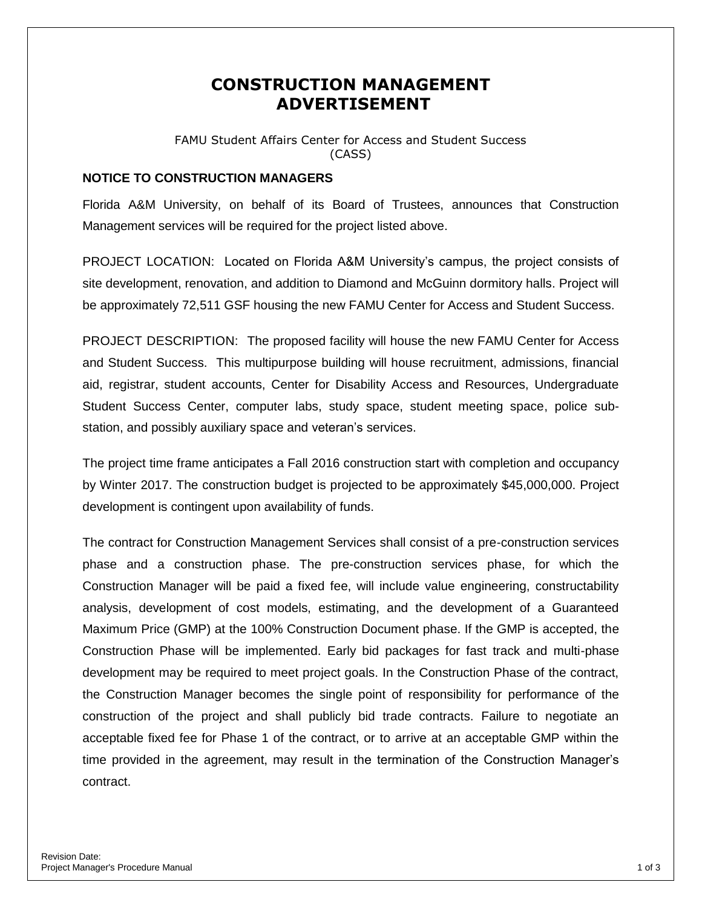## **CONSTRUCTION MANAGEMENT ADVERTISEMENT**

FAMU Student Affairs Center for Access and Student Success (CASS)

## **NOTICE TO CONSTRUCTION MANAGERS**

Florida A&M University, on behalf of its Board of Trustees, announces that Construction Management services will be required for the project listed above.

PROJECT LOCATION: Located on Florida A&M University's campus, the project consists of site development, renovation, and addition to Diamond and McGuinn dormitory halls. Project will be approximately 72,511 GSF housing the new FAMU Center for Access and Student Success.

PROJECT DESCRIPTION: The proposed facility will house the new FAMU Center for Access and Student Success. This multipurpose building will house recruitment, admissions, financial aid, registrar, student accounts, Center for Disability Access and Resources, Undergraduate Student Success Center, computer labs, study space, student meeting space, police substation, and possibly auxiliary space and veteran's services.

The project time frame anticipates a Fall 2016 construction start with completion and occupancy by Winter 2017. The construction budget is projected to be approximately \$45,000,000. Project development is contingent upon availability of funds.

The contract for Construction Management Services shall consist of a pre-construction services phase and a construction phase. The pre-construction services phase, for which the Construction Manager will be paid a fixed fee, will include value engineering, constructability analysis, development of cost models, estimating, and the development of a Guaranteed Maximum Price (GMP) at the 100% Construction Document phase. If the GMP is accepted, the Construction Phase will be implemented. Early bid packages for fast track and multi-phase development may be required to meet project goals. In the Construction Phase of the contract, the Construction Manager becomes the single point of responsibility for performance of the construction of the project and shall publicly bid trade contracts. Failure to negotiate an acceptable fixed fee for Phase 1 of the contract, or to arrive at an acceptable GMP within the time provided in the agreement, may result in the termination of the Construction Manager's contract.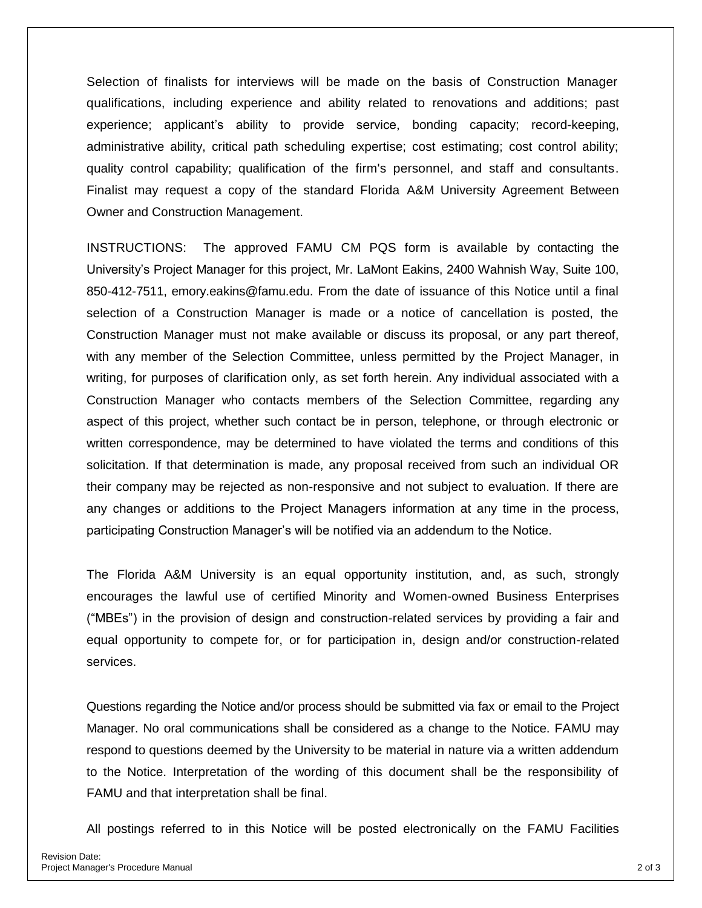Selection of finalists for interviews will be made on the basis of Construction Manager qualifications, including experience and ability related to renovations and additions; past experience; applicant's ability to provide service, bonding capacity; record-keeping, administrative ability, critical path scheduling expertise; cost estimating; cost control ability; quality control capability; qualification of the firm's personnel, and staff and consultants. Finalist may request a copy of the standard Florida A&M University Agreement Between Owner and Construction Management.

INSTRUCTIONS: The approved FAMU CM PQS form is available by contacting the University's Project Manager for this project, Mr. LaMont Eakins, 2400 Wahnish Way, Suite 100, 850-412-7511, emory.eakins@famu.edu. From the date of issuance of this Notice until a final selection of a Construction Manager is made or a notice of cancellation is posted, the Construction Manager must not make available or discuss its proposal, or any part thereof, with any member of the Selection Committee, unless permitted by the Project Manager, in writing, for purposes of clarification only, as set forth herein. Any individual associated with a Construction Manager who contacts members of the Selection Committee, regarding any aspect of this project, whether such contact be in person, telephone, or through electronic or written correspondence, may be determined to have violated the terms and conditions of this solicitation. If that determination is made, any proposal received from such an individual OR their company may be rejected as non-responsive and not subject to evaluation. If there are any changes or additions to the Project Managers information at any time in the process, participating Construction Manager's will be notified via an addendum to the Notice.

The Florida A&M University is an equal opportunity institution, and, as such, strongly encourages the lawful use of certified Minority and Women-owned Business Enterprises ("MBEs") in the provision of design and construction-related services by providing a fair and equal opportunity to compete for, or for participation in, design and/or construction-related services.

Questions regarding the Notice and/or process should be submitted via fax or email to the Project Manager. No oral communications shall be considered as a change to the Notice. FAMU may respond to questions deemed by the University to be material in nature via a written addendum to the Notice. Interpretation of the wording of this document shall be the responsibility of FAMU and that interpretation shall be final.

All postings referred to in this Notice will be posted electronically on the FAMU Facilities